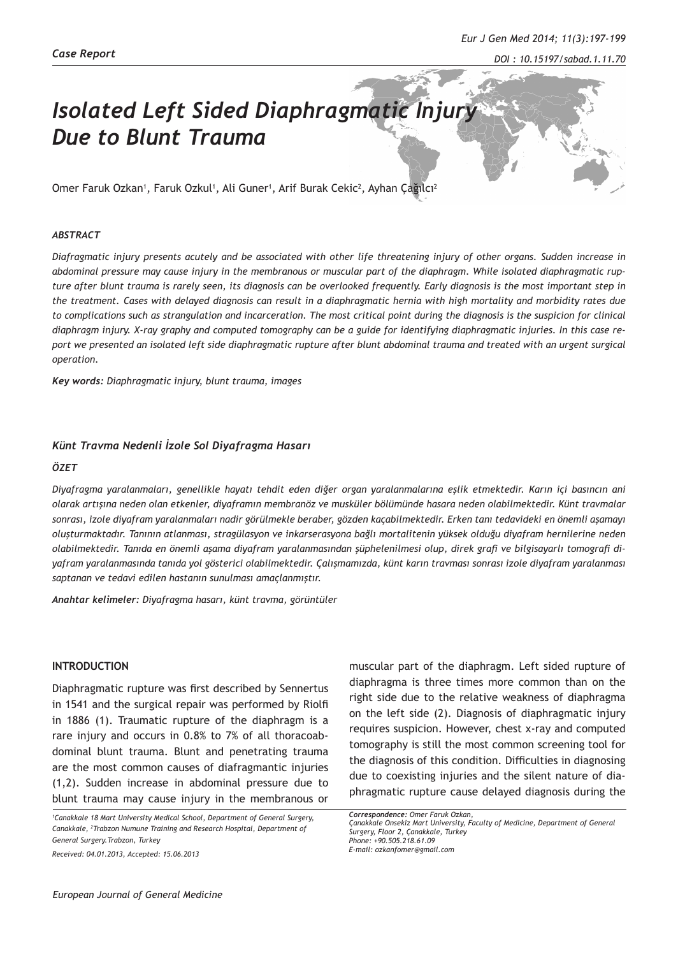*DOI : 10.15197/sabad.1.11.70*

# *Isolated Left Sided Diaphragmatic Injury Due to Blunt Trauma*

Omer Faruk Ozkan', Faruk Ozkul', Ali Guner', Arif Burak Cekic<sup>2</sup>, Ayhan Çağılcı<sup>2</sup>

#### *ABSTRACT*

*Diafragmatic injury presents acutely and be associated with other life threatening injury of other organs. Sudden increase in abdominal pressure may cause injury in the membranous or muscular part of the diaphragm. While isolated diaphragmatic rupture after blunt trauma is rarely seen, its diagnosis can be overlooked frequently. Early diagnosis is the most important step in the treatment. Cases with delayed diagnosis can result in a diaphragmatic hernia with high mortality and morbidity rates due to complications such as strangulation and incarceration. The most critical point during the diagnosis is the suspicion for clinical diaphragm injury. X-ray graphy and computed tomography can be a guide for identifying diaphragmatic injuries. In this case report we presented an isolated left side diaphragmatic rupture after blunt abdominal trauma and treated with an urgent surgical operation.*

*Key words: Diaphragmatic injury, blunt trauma, images*

#### *Künt Travma Nedenli İzole Sol Diyafragma Hasarı*

#### *ÖZET*

*Diyafragma yaralanmaları, genellikle hayatı tehdit eden diğer organ yaralanmalarına eşlik etmektedir. Karın içi basıncın ani olarak artışına neden olan etkenler, diyaframın membranöz ve musküler bölümünde hasara neden olabilmektedir. Künt travmalar sonrası, izole diyafram yaralanmaları nadir görülmekle beraber, gözden kaçabilmektedir. Erken tanı tedavideki en önemli aşamayı oluşturmaktadır. Tanının atlanması, stragülasyon ve inkarserasyona bağlı mortalitenin yüksek olduğu diyafram hernilerine neden olabilmektedir. Tanıda en önemli aşama diyafram yaralanmasından şüphelenilmesi olup, direk grafi ve bilgisayarlı tomografi diyafram yaralanmasında tanıda yol gösterici olabilmektedir. Çalışmamızda, künt karın travması sonrası izole diyafram yaralanması saptanan ve tedavi edilen hastanın sunulması amaçlanmıştır.*

*Anahtar kelimeler: Diyafragma hasarı, künt travma, görüntüler*

#### **INTRODUCTION**

Diaphragmatic rupture was first described by Sennertus in 1541 and the surgical repair was performed by Riolfi in 1886 (1). Traumatic rupture of the diaphragm is a rare injury and occurs in 0.8% to 7% of all thoracoabdominal blunt trauma. Blunt and penetrating trauma are the most common causes of diafragmantic injuries (1,2). Sudden increase in abdominal pressure due to blunt trauma may cause injury in the membranous or

*1 Canakkale 18 Mart University Medical School, Department of General Surgery, Canakkale, 2 Trabzon Numune Training and Research Hospital, Department of General Surgery.Trabzon, Turkey*

*Received: 04.01.2013, Accepted: 15.06.2013*

muscular part of the diaphragm. Left sided rupture of diaphragma is three times more common than on the right side due to the relative weakness of diaphragma on the left side (2). Diagnosis of diaphragmatic injury requires suspicion. However, chest x-ray and computed tomography is still the most common screening tool for the diagnosis of this condition. Difficulties in diagnosing due to coexisting injuries and the silent nature of diaphragmatic rupture cause delayed diagnosis during the

*Correspondence: Omer Faruk Ozkan, Çanakkale Onsekiz Mart University, Faculty of Medicine, Department of General Surgery, Floor 2, Çanakkale, Turkey Phone: +90.505.218.61.09 E-mail: ozkanfomer@gmail.com*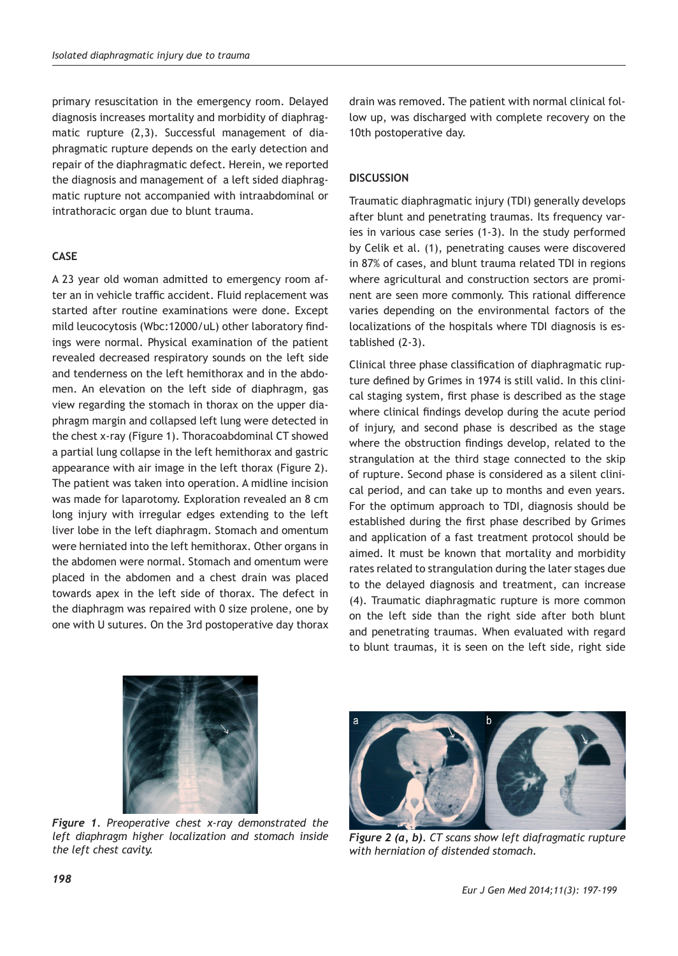primary resuscitation in the emergency room. Delayed diagnosis increases mortality and morbidity of diaphragmatic rupture (2,3). Successful management of diaphragmatic rupture depends on the early detection and repair of the diaphragmatic defect. Herein, we reported the diagnosis and management of a left sided diaphragmatic rupture not accompanied with intraabdominal or intrathoracic organ due to blunt trauma.

## **CASE**

A 23 year old woman admitted to emergency room after an in vehicle traffic accident. Fluid replacement was started after routine examinations were done. Except mild leucocytosis (Wbc:12000/uL) other laboratory findings were normal. Physical examination of the patient revealed decreased respiratory sounds on the left side and tenderness on the left hemithorax and in the abdomen. An elevation on the left side of diaphragm, gas view regarding the stomach in thorax on the upper diaphragm margin and collapsed left lung were detected in the chest x-ray (Figure 1). Thoracoabdominal CT showed a partial lung collapse in the left hemithorax and gastric appearance with air image in the left thorax (Figure 2). The patient was taken into operation. A midline incision was made for laparotomy. Exploration revealed an 8 cm long injury with irregular edges extending to the left liver lobe in the left diaphragm. Stomach and omentum were herniated into the left hemithorax. Other organs in the abdomen were normal. Stomach and omentum were placed in the abdomen and a chest drain was placed towards apex in the left side of thorax. The defect in the diaphragm was repaired with 0 size prolene, one by one with U sutures. On the 3rd postoperative day thorax drain was removed. The patient with normal clinical follow up, was discharged with complete recovery on the 10th postoperative day.

### **DISCUSSION**

Traumatic diaphragmatic injury (TDI) generally develops after blunt and penetrating traumas. Its frequency varies in various case series (1-3). In the study performed by Celik et al. (1), penetrating causes were discovered in 87% of cases, and blunt trauma related TDI in regions where agricultural and construction sectors are prominent are seen more commonly. This rational difference varies depending on the environmental factors of the localizations of the hospitals where TDI diagnosis is established (2-3).

Clinical three phase classification of diaphragmatic rupture defined by Grimes in 1974 is still valid. In this clinical staging system, first phase is described as the stage where clinical findings develop during the acute period of injury, and second phase is described as the stage where the obstruction findings develop, related to the strangulation at the third stage connected to the skip of rupture. Second phase is considered as a silent clinical period, and can take up to months and even years. For the optimum approach to TDI, diagnosis should be established during the first phase described by Grimes and application of a fast treatment protocol should be aimed. It must be known that mortality and morbidity rates related to strangulation during the later stages due to the delayed diagnosis and treatment, can increase (4). Traumatic diaphragmatic rupture is more common on the left side than the right side after both blunt and penetrating traumas. When evaluated with regard to blunt traumas, it is seen on the left side, right side



*Figure 1. Preoperative chest x-ray demonstrated the left diaphragm higher localization and stomach inside the left chest cavity.*



*Figure 2 (a, b). CT scans show left diafragmatic rupture with herniation of distended stomach.*